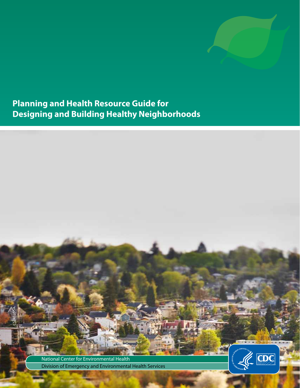

**Planning and Health Resource Guide for Designing and Building Healthy Neighborhoods**

> National Center for Environmental Health Division of Emergency and Environmental Health Services

CS241355A

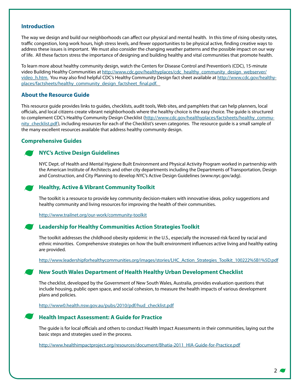#### **Introduction**

The way we design and build our neighborhoods can affect our physical and mental health. In this time of rising obesity rates, traffic congestion, long work hours, high stress levels, and fewer opportunities to be physical active, finding creative ways to address these issues is important. We must also consider the changing weather patterns and the possible impact on our way of life. All these factors stress the importance of designing and building healthy and vital communities that promote health.

To learn more about healthy community design, watch the Centers for Disease Control and Prevention's (CDC), 15-minute video Building Healthy Communities at http://www.cdc.gov/healthyplaces/cdc\_healthy\_community\_design\_webserver/ video h.htm. You may also find helpful CDC's Healthy Community Design fact sheet available at http://www.cdc.gov/healthyplaces/factsheets/healthy\_community\_design\_factsheet\_final.pdf.

## **About the Resource Guide**

This resource guide provides links to guides, checklists, audit tools, Web sites, and pamphlets that can help planners, local officials, and local citizens create vibrant neighborhoods where the healthy choice is the easy choice. The guide is structured to complement CDC's Healthy Community Design Checklist (http://www.cdc.gov/healthyplaces/factsheets/healthy\_community checklist.pdf), including resources for each of the Checklist's seven categories. The resource guide is a small sample of the many excellent resources available that address healthy community design.

# **Comprehensive Guides**

# **NYC's Active Design Guidelines**

NYC Dept. of Health and Mental Hygiene Built Environment and Physical Activity Program worked in partnership with the American Institute of Architects and other city departments including the Departments of Transportation, Design and Construction, and City Planning to develop NYC's Active Design Guidelines (www.nyc.gov/adg).

# **Healthy, Active & Vibrant Community Toolkit**

The toolkit is a resource to provide key community decision-makers with innovative ideas, policy suggestions and healthy community and living resources for improving the health of their communities.

http://www.trailnet.org/our-work/community-toolkit

## **Leadership for Healthy Communities Action Strategies Toolkit**

The toolkit addresses the childhood obesity epidemic in the U.S., especially the increased risk faced by racial and ethnic minorities. Comprehensive strategies on how the built environment influences active living and healthy eating are provided.

http://www.leadershipforhealthycommunities.org/images/stories/LHC\_Action\_Strategies\_Toolkit\_100222%5B1%5D.pdf

# **New South Wales Department of Health Healthy Urban Development Checklist**

The checklist, developed by the Government of New South Wales, Australia, provides evaluation questions that include housing, public open space, and social cohesion, to measure the health impacts of various development plans and policies.

http://www0.health.nsw.gov.au/pubs/2010/pdf/hud\_checklist.pdf

## **Health Impact Assessment: A Guide for Practice**

The guide is for local officials and others to conduct Health Impact Assessments in their communities, laying out the basic steps and strategies used in the process.

http://www.healthimpactproject.org/resources/document/Bhatia-2011\_HIA-Guide-for-Practice.pdf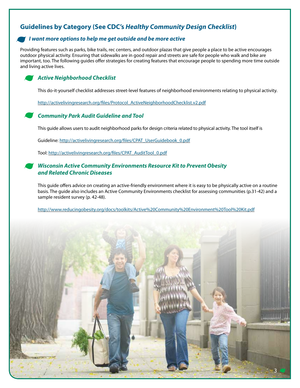# **Guidelines by Category (See CDC's** *Healthy Community Design Checklist***)**

# I want more options to help me get outside and be more active

Providing features such as parks, bike trails, rec centers, and outdoor plazas that give people a place to be active encourages outdoor physical activity. Ensuring that sidewalks are in good repair and streets are safe for people who walk and bike are important, too. The following guides offer strategies for creating features that encourage people to spending more time outside and living active lives.

## *Active Neighborhood Checklist*

This do-it-yourself checklist addresses street-level features of neighborhood environments relating to physical activity.

[http://activelivingresearch.org/files/Protocol\\_ActiveNeighborhoodChecklist.v2.pdf](http://activelivingresearch.org/files/Protocol_ActiveNeighborhoodChecklist.v2.pdf)

## *Community Park Audit Guideline and Tool*

This guide allows users to audit neighborhood parks for design criteria related to physical activity. The tool itself is

Guideline: [http://activelivingresearch.org/files/CPAT\\_UserGuidebook\\_0.pdf](http://activelivingresearch.org/files/CPAT_UserGuidebook_0.pdf)

Tool: [http://activelivingresearch.org/files/CPAT\\_AuditTool\\_0.pdf](http://activelivingresearch.org/files/CPAT_AuditTool_0.pdf)

## *Wisconsin Active Community Environments Resource Kit to Prevent Obesity and Related Chronic Diseases*

This guide offers advice on creating an active-friendly environment where it is easy to be physically active on a routine basis. The guide also includes an Active Community Environments checklist for assessing communities (p.31-42) and a sample resident survey (p. 42-48).

<http://www.reducingobesity.org/docs/toolkits/Active%20Community%20Environment%20Tool%20Kit.pdf>

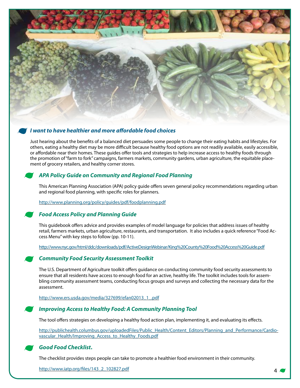

# I want to have healthier and more affordable food choices

Just hearing about the benefits of a balanced diet persuades some people to change their eating habits and lifestyles. For others, eating a healthy diet may be more difficult because healthy food options are not readily available, easily accessible, or affordable near their homes. These guides offer tools and strategies to help increase access to healthy foods through the promotion of "farm to fork" campaigns, farmers markets, community gardens, urban agriculture, the equitable placement of grocery retailers, and healthy corner stores.

# *APA Policy Guide on Community and Regional Food Planning*

This American Planning Association (APA) policy guide offers seven general policy recommendations regarding urban and regional food planning, with specific roles for planners.

<http://www.planning.org/policy/guides/pdf/foodplanning.pdf>

## *Food Access Policy and Planning Guide*

This guidebook offers advice and provides examples of model language for policies that address issues of healthy retail, farmers markets, urban agriculture, restaurants, and transportation. It also includes a quick reference "Food Access Menu" with key steps to follow (pp. 10-11).

<http://www.nyc.gov/html/ddc/downloads/pdf/ActiveDesignWebinar/King%20County%20Food%20Access%20Guide.pdf>

## *Community Food Security Assessment Toolkit*

The U.S. Department of Agriculture toolkit offers guidance on conducting community food security assessments to ensure that all residents have access to enough food for an active, healthy life. The toolkit includes tools for assembling community assessment teams, conducting focus groups and surveys and collecting the necessary data for the assessment.

[http://www.ers.usda.gov/media/327699/efan02013\\_1\\_.pdf](http://www.ers.usda.gov/media/327699/efan02013_1_.pdf)

## *Improving Access to Healthy Food: A Community Planning Tool*

The tool offers strategies on developing a healthy food action plan, implementing it, and evaluating its effects.

[http://publichealth.columbus.gov/uploadedFiles/Public\\_Health/Content\\_Editors/Planning\\_and\\_Performance/Cardio](http://publichealth.columbus.gov/uploadedFiles/Public_Health/Content_Editors/Planning_and_Performance/Cardiovascular_Health/Improving_Access_to_Healthy_Foods.pdf)[vascular\\_Health/Improving\\_Access\\_to\\_Healthy\\_Foods.pdf](http://publichealth.columbus.gov/uploadedFiles/Public_Health/Content_Editors/Planning_and_Performance/Cardiovascular_Health/Improving_Access_to_Healthy_Foods.pdf)

## *Good Food Checklist***.**

The checklist provides steps people can take to promote a healthier food environment in their community.

[http://www.iatp.org/files/143\\_2\\_102827.pdf](http://www.iatp.org/files/143_2_102827.pdf) 4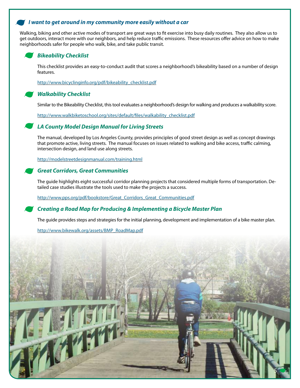# I want to get around in my community more easily without a car

Walking, biking and other active modes of transport are great ways to fit exercise into busy daily routines. They also allow us to get outdoors, interact more with our neighbors, and help reduce traffic emissions. These resources offer advice on how to make neighborhoods safer for people who walk, bike, and take public transit.

## *Bikeability Checklist*

This checklist provides an easy-to-conduct audit that scores a neighborhood's bikeability based on a number of design features.

[http://www.bicyclinginfo.org/pdf/bikeability\\_checklist.pdf](http://www.bicyclinginfo.org/pdf/bikeability_checklist.pdf)

#### *Walkability Checklist*

Similar to the Bikeability Checklist, this tool evaluates a neighborhood's design for walking and produces a walkability score.

[http://www.walkbiketoschool.org/sites/default/files/walkability\\_checklist.pdf](http://www.walkbiketoschool.org/sites/default/files/walkability_checklist.pdf)

## *LA County Model Design Manual for Living Streets*

The manual, developed by Los Angeles County, provides principles of good street design as well as concept drawings that promote active, living streets. The manual focuses on issues related to walking and bike access, traffic calming, intersection design, and land use along streets.

<http://modelstreetdesignmanual.com/training.html>

## *Great Corridors, Great Communities*

The guide highlights eight successful corridor planning projects that considered multiple forms of transportation. Detailed case studies illustrate the tools used to make the projects a success.

[http://www.pps.org/pdf/bookstore/Great\\_Corridors\\_Great\\_Communities.pdf](http://www.pps.org/pdf/bookstore/Great_Corridors_Great_Communities.pdf)

## *Creating a Road Map for Producing & Implementing a Bicycle Master Plan*

The guide provides steps and strategies for the initial planning, development and implementation of a bike master plan.

[http://www.bikewalk.org/assets/BMP\\_RoadMap.pdf](http://www.bikewalk.org/assets/BMP_RoadMap.pdf)

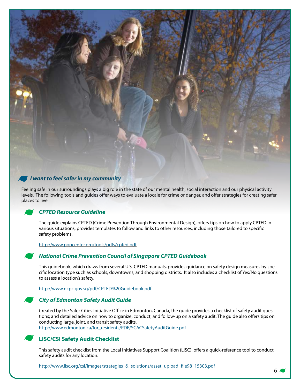

# · *I want to feel safer in my community*

Feeling safe in our surroundings plays a big role in the state of our mental health, social interaction and our physical activity levels. The following tools and guides offer ways to evaluate a locale for crime or danger, and offer strategies for creating safer places to live.

#### *CPTED Resource Guideline*

The guide explains CPTED (Crime Prevention Through Environmental Design), offers tips on how to apply CPTED in various situations, provides templates to follow and links to other resources, including those tailored to specific safety problems.

<http://www.popcenter.org/tools/pdfs/cpted.pdf>

## *National Crime Prevention Council of Singapore CPTED Guidebook*

This guidebook, which draws from several U.S. CPTED manuals, provides guidance on safety design measures by specific location type such as schools, downtowns, and shopping districts. It also includes a checklist of Yes/No questions to assess a location's safety.

<http://www.ncpc.gov.sg/pdf/CPTED%20Guidebook.pdf>

## *City of Edmonton Safety Audit Guide*

Created by the Safer Cities Initiative Office in Edmonton, Canada, the guide provides a checklist of safety audit questions; and detailed advice on how to organize, conduct, and follow-up on a safety audit. The guide also offers tips on conducting large, joint, and transit safety audits. [http://www.edmonton.ca/for\\_residents/PDF/SCACSafetyAuditGuide.pdf](http://www.edmonton.ca/for_residents/PDF/SCACSafetyAuditGuide.pdf)

## **LISC/CSI Safety Audit Checklist**

This safety audit checklist from the Local Initiatives Support Coalition (LISC), offers a quick-reference tool to conduct safety audits for any location.

[http://www.lisc.org/csi/images/strategies\\_&\\_solutions/asset\\_upload\\_file98\\_15303.pdf](http://www.lisc.org/csi/images/strategies_&_solutions/asset_upload_file98_15303.pdf)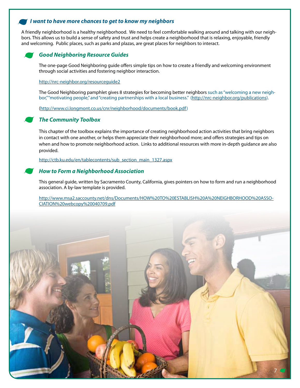# I want to have more chances to get to know my neighbors

A friendly neighborhood is a healthy neighborhood. We need to feel comfortable walking around and talking with our neighbors. This allows us to build a sense of safety and trust and helps create a neighborhood that is relaxing, enjoyable, friendly and welcoming. Public places, such as parks and plazas, are great places for neighbors to interact.

## *Good Neighboring Resource Guides*

The one-page Good Neighboring guide offers simple tips on how to create a friendly and welcoming environment through social activities and fostering neighbor interaction.

<http://nrc-neighbor.org/resourceguide2>

The Good Neighboring pamphlet gives 8 strategies for becoming better neighbors such as "welcoming a new neighbor," "motivating people," and "creating partnerships with a local business." ([http://nrc-neighbor.org/publications\)](http://nrc-neighbor.org/publications).

[\(http://www.ci.longmont.co.us/cnr/neighborhood/documents/book.pdf\)](http://www.ci.longmont.co.us/cnr/neighborhood/documents/book.pdf)

#### *The Community Toolbox*

This chapter of the toolbox explains the importance of creating neighborhood action activities that bring neighbors in contact with one another, or helps them appreciate their neighborhood more; and offers strategies and tips on when and how to promote neighborhood action. Links to additional resources with more in-depth guidance are also provided.

[http://ctb.ku.edu/en/tablecontents/sub\\_section\\_main\\_1327.aspx](http://ctb.ku.edu/en/tablecontents/sub_section_main_1327.aspx)

#### *How to Form a Neighborhood Association*

This general guide, written by Sacramento County, California, gives pointers on how to form and run a neighborhood association. A by-law template is provided.

[http://www.msa2.saccounty.net/dns/Documents/HOW%20TO%20ESTABLISH%20A%20NEIGHBORHOOD%20ASSO-](http://www.msa2.saccounty.net/dns/Documents/HOW%20TO%20ESTABLISH%20A%20NEIGHBORHOOD%20ASSOCIATION%20webcopy%20040709.pdf)[CIATION%20webcopy%20040709.pdf](http://www.msa2.saccounty.net/dns/Documents/HOW%20TO%20ESTABLISH%20A%20NEIGHBORHOOD%20ASSOCIATION%20webcopy%20040709.pdf)

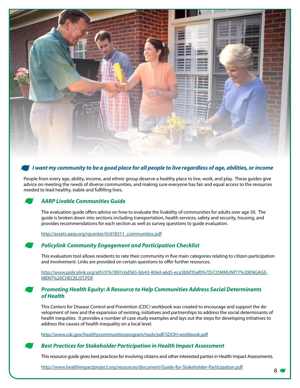

# I want my community to be a good place for all people to live regardless of age, abilities, or income

People from every age, ability, income, and ethnic group deserve a healthy place to live, work, and play. These guides give advice on meeting the needs of diverse communities, and making sure everyone has fair and equal access to the resources needed to lead healthy, stable and fulfilling lives.

## *AARP Livable Communities Guide*

The evaluation guide offers advice on how to evaluate the livability of communities for adults over age 50. The guide is broken down into sections including transportation, health services, safety and security, housing, and provides recommendations for each section as well as survey questions to guide evaluation.

[http://assets.aarp.org/rgcenter/il/d18311\\_communities.pdf](http://assets.aarp.org/rgcenter/il/d18311_communities.pdf)

## *Policylink Community Engagement and Participation Checklist*

This evaluation tool allows residents to rate their community in five main categories relating to citizen participation and involvement. Links are provided on certain questions to offer further resources.

[http://www.policylink.org/atf/cf/%7B97c6d565-bb43-406d-a6d5-eca3bbf35af0%7D/COMMUNITY%20ENGAGE-](http://www.policylink.org/atf/cf/%7B97c6d565-bb43-406d-a6d5-eca3bbf35af0%7D/COMMUNITY%20ENGAGEMENT%20CHECKLIST.PDF)[MENT%20CHECKLIST.PDF](http://www.policylink.org/atf/cf/%7B97c6d565-bb43-406d-a6d5-eca3bbf35af0%7D/COMMUNITY%20ENGAGEMENT%20CHECKLIST.PDF)

#### *Promoting Health Equity: A Resource to Help Communities Address Social Determinants of Health*

This Centers for Disease Control and Prevention (CDC) workbook was created to encourage and support the development of new and the expansion of existing, initiatives and partnerships to address the social determinants of health inequities. It provides a number of case study examples and lays out the steps for developing initiatives to address the causes of health inequality on a local level.

<http://www.cdc.gov/healthycommunitiesprogram/tools/pdf/SDOH-workbook.pdf>

#### *Best Practices for Stakeholder Participation in Health Impact Assessment*

This resource guide gives best practices for involving citizens and other interested parties in Health Impact Assessments.

<http://www.healthimpactproject.org/resources/document/Guide-for-Stakeholder-Participation.pdf> 8